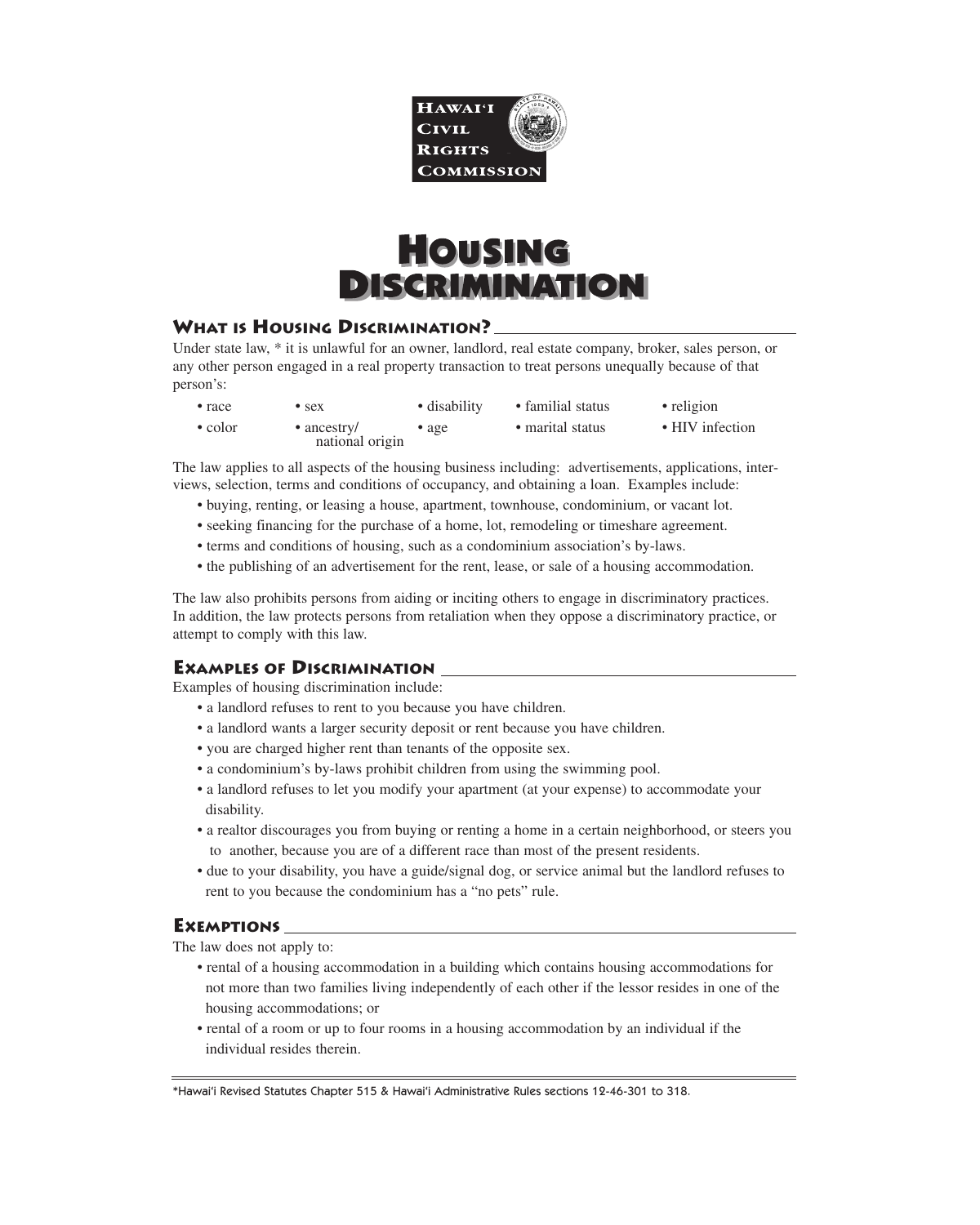

# **HOUSING DISCRIMINATION**

# **WHAT IS HOUSING DISCRIMINATION?**

Under state law, \* it is unlawful for an owner, landlord, real estate company, broker, sales person, or any other person engaged in a real property transaction to treat persons unequally because of that person's:

• race • sex • disability • familial status • religion • color • ancestry • age • marital status • HIV infection national origin

The law applies to all aspects of the housing business including: advertisements, applications, interviews, selection, terms and conditions of occupancy, and obtaining a loan. Examples include:

- buying, renting, or leasing a house, apartment, townhouse, condominium, or vacant lot.
- seeking financing for the purchase of a home, lot, remodeling or timeshare agreement.
- terms and conditions of housing, such as a condominium association's by-laws.
- the publishing of an advertisement for the rent, lease, or sale of a housing accommodation.

The law also prohibits persons from aiding or inciting others to engage in discriminatory practices. In addition, the law protects persons from retaliation when they oppose a discriminatory practice, or attempt to comply with this law.

# **EXAMPLES OF DISCRIMINATION**

Examples of housing discrimination include:

- a landlord refuses to rent to you because you have children.
- a landlord wants a larger security deposit or rent because you have children.
- you are charged higher rent than tenants of the opposite sex.
- a condominium's by-laws prohibit children from using the swimming pool.
- a landlord refuses to let you modify your apartment (at your expense) to accommodate your disability.
- a realtor discourages you from buying or renting a home in a certain neighborhood, or steers you to another, because you are of a different race than most of the present residents.
- due to your disability, you have a guide/signal dog, or service animal but the landlord refuses to rent to you because the condominium has a "no pets" rule.

#### **EXEMPTIONS**

The law does not apply to:

- rental of a housing accommodation in a building which contains housing accommodations for not more than two families living independently of each other if the lessor resides in one of the housing accommodations; or
- rental of a room or up to four rooms in a housing accommodation by an individual if the individual resides therein.